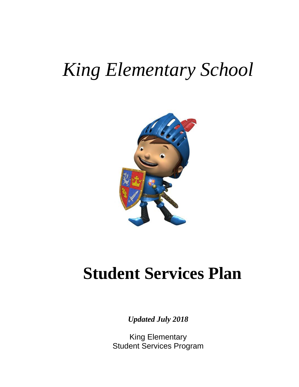# *King Elementary School*



# **Student Services Plan**

*Updated July 2018*

King Elementary Student Services Program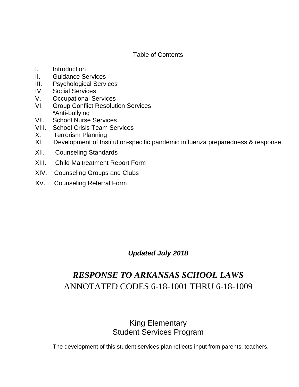## Table of Contents

- I. Introduction
- II. Guidance Services
- III. Psychological Services
- IV. Social Services
- V. Occupational Services
- VI. Group Conflict Resolution Services \*Anti-bullying
- VII. School Nurse Services
- VIII. School Crisis Team Services
- X. Terrorism Planning
- XI. Development of Institution-specific pandemic influenza preparedness & response
- XII. Counseling Standards
- XIII. Child Maltreatment Report Form
- XIV. Counseling Groups and Clubs
- XV. Counseling Referral Form

*Updated July 2018*

## *RESPONSE TO ARKANSAS SCHOOL LAWS* ANNOTATED CODES 6-18-1001 THRU 6-18-1009

## King Elementary Student Services Program

The development of this student services plan reflects input from parents, teachers,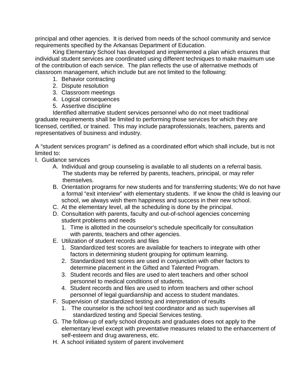principal and other agencies. It is derived from needs of the school community and service requirements specified by the Arkansas Department of Education.

King Elementary School has developed and implemented a plan which ensures that individual student services are coordinated using different techniques to make maximum use of the contribution of each service. The plan reflects the use of alternative methods of classroom management, which include but are not limited to the following:

- 1. Behavior contracting
- 2. Dispute resolution
- 3. Classroom meetings
- 4. Logical consequences
- 5. Assertive discipline

Identified alternative student services personnel who do not meet traditional graduate requirements shall be limited to performing those services for which they are licensed, certified, or trained. This may include paraprofessionals, teachers, parents and representatives of business and industry.

A "student services program" is defined as a coordinated effort which shall include, but is not limited to:

- I. Guidance services
	- A. Individual and group counseling is available to all students on a referral basis. The students may be referred by parents, teachers, principal, or may refer themselves.
	- B. Orientation programs for new students and for transferring students; We do not have a formal "exit interview" with elementary students. If we know the child is leaving our school, we always wish them happiness and success in their new school.
	- C. At the elementary level, all the scheduling is done by the principal.
	- D. Consultation with parents, faculty and out-of-school agencies concerning student problems and needs
		- 1. Time is allotted in the counselor's schedule specifically for consultation with parents, teachers and other agencies.
	- E. Utilization of student records and files
		- 1. Standardized test scores are available for teachers to integrate with other factors in determining student grouping for optimum learning.
		- 2. Standardized test scores are used in conjunction with other factors to determine placement in the Gifted and Talented Program.
		- 3. Student records and files are used to alert teachers and other school personnel to medical conditions of students.
		- 4. Student records and files are used to inform teachers and other school personnel of legal guardianship and access to student mandates.
	- F. Supervision of standardized testing and interpretation of results
		- 1. The counselor is the school test coordinator and as such supervises all standardized testing and Special Services testing.
	- G. The follow-up of early school dropouts and graduates does not apply to the elementary level except with preventative measures related to the enhancement of self-esteem and drug awareness, etc.
	- H. A school initiated system of parent involvement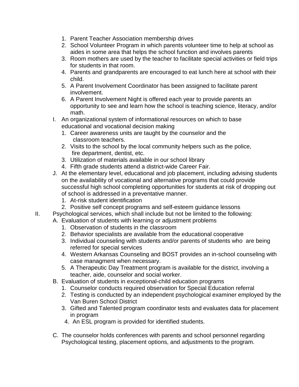- 1. Parent Teacher Association membership drives
- 2. School Volunteer Program in which parents volunteer time to help at school as aides in some area that helps the school function and involves parents
- 3. Room mothers are used by the teacher to facilitate special activities or field trips for students in that room.
- 4. Parents and grandparents are encouraged to eat lunch here at school with their child.
- 5. A Parent Involvement Coordinator has been assigned to facilitate parent involvement.
- 6. A Parent Involvement Night is offered each year to provide parents an opportunity to see and learn how the school is teaching science, literacy, and/or math.
- I. An organizational system of informational resources on which to base educational and vocational decision making
	- 1. Career awareness units are taught by the counselor and the classroom teachers.
	- 2. Visits to the school by the local community helpers such as the police, fire department, dentist, etc.
	- 3. Utilization of materials available in our school library
	- 4. Fifth grade students attend a district-wide Career Fair.
- J. At the elementary level, educational and job placement, including advising students on the availability of vocational and alternative programs that could provide successful high school completing opportunities for students at risk of dropping out of school is addressed in a preventative manner.
	- 1. At-risk student identification
	- 2. Positive self concept programs and self-esteem guidance lessons
- II. Psychological services, which shall include but not be limited to the following:
	- A. Evaluation of students with learning or adjustment problems
		- 1. Observation of students in the classroom
		- 2. Behavior specialists are available from the educational cooperative
		- 3. Individual counseling with students and/or parents of students who are being referred for special services
		- 4. Western Arkansas Counseling and BOST provides an in-school counseling with case managment when necessary.
		- 5. A Therapeutic Day Treatment program is available for the district, involving a teacher, aide, counselor and social worker.
	- B. Evaluation of students in exceptional-child education programs
		- 1. Counselor conducts required observation for Special Education referral
		- 2. Testing is conducted by an independent psychological examiner employed by the Van Buren School District
		- 3. Gifted and Talented program coordinator tests and evaluates data for placement in program
		- 4. An ESL program is provided for identified students.
	- C. The counselor holds conferences with parents and school personnel regarding Psychological testing, placement options, and adjustments to the program.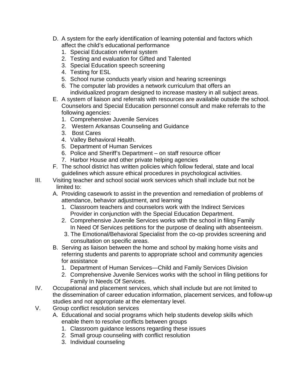- D. A system for the early identification of learning potential and factors which affect the child's educational performance
	- 1. Special Education referral system
	- 2. Testing and evaluation for Gifted and Talented
	- 3. Special Education speech screening
	- 4. Testing for ESL
	- 5. School nurse conducts yearly vision and hearing screenings
	- 6. The computer lab provides a network curriculum that offers an individualized program designed to increase mastery in all subject areas.
- E. A system of liaison and referrals with resources are available outside the school. Counselors and Special Education personnel consult and make referrals to the following agencies:
	- 1. Comprehensive Juvenile Services
	- 2. Western Arkansas Counseling and Guidance
	- 3. Bost Cares
	- 4. Valley Behavioral Health.
	- 5. Department of Human Services
	- 6. Police and Sheriff's Department on staff resource officer
	- 7. Harbor House and other private helping agencies
- F. The school district has written policies which follow federal, state and local guidelines which assure ethical procedures in psychological activities.
- III. Visiting teacher and school social work services which shall include but not be limited to:
	- A. Providing casework to assist in the prevention and remediation of problems of attendance, behavior adjustment, and learning
		- 1. Classroom teachers and counselors work with the Indirect Services Provider in conjunction with the Special Education Department.
		- 2. Comprehensive Juvenile Services works with the school in filing Family In Need Of Services petitions for the purpose of dealing with absenteeism.
		- 3. The Emotional/Behavioral Specialist from the co-op provides screening and consultation on specific areas.
	- B. Serving as liaison between the home and school by making home visits and referring students and parents to appropriate school and community agencies for assistance
		- 1. Department of Human Services—Child and Family Services Division
		- 2. Comprehensive Juvenile Services works with the school in filing petitions for Family In Needs Of Services.
- IV. Occupational and placement services, which shall include but are not limited to the dissemination of career education information, placement services, and follow-up studies and not appropriate at the elementary level.
- V. Group conflict resolution services
	- A. Educational and social programs which help students develop skills which enable them to resolve conflicts between groups
		- 1. Classroom guidance lessons regarding these issues
		- 2. Small group counseling with conflict resolution
		- 3. Individual counseling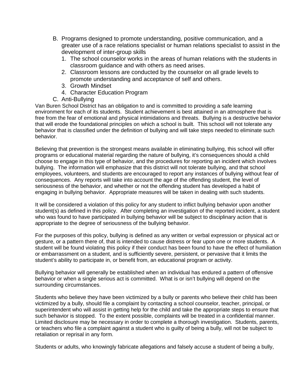- B. Programs designed to promote understanding, positive communication, and a greater use of a race relations specialist or human relations specialist to assist in the development of inter-group skills
	- 1. The school counselor works in the areas of human relations with the students in classroom guidance and with others as need arises.
	- 2. Classroom lessons are conducted by the counselor on all grade levels to promote understanding and acceptance of self and others.
	- 3. Growth Mindset
	- 4. Character Education Program
- C. Anti-Bullying

Van Buren School District has an obligation to and is committed to providing a safe learning environment for each of its students. Student achievement is best attained in an atmosphere that is free from the fear of emotional and physical intimidations and threats. Bullying is a destructive behavior that will erode the foundational principles on which a school is built. This school will not tolerate any behavior that is classified under the definition of bullying and will take steps needed to eliminate such behavior.

Believing that prevention is the strongest means available in eliminating bullying, this school will offer programs or educational material regarding the nature of bullying, it's consequences should a child choose to engage in this type of behavior, and the procedures for reporting an incident which involves bullying. The information will emphasize that this district will not tolerate bullying, and that school employees, volunteers, and students are encouraged to report any instances of bullying without fear of consequences. Any reports will take into account the age of the offending student, the level of seriousness of the behavior, and whether or not the offending student has developed a habit of engaging in bullying behavior. Appropriate measures will be taken in dealing with such students.

It will be considered a violation of this policy for any student to inflict bullying behavior upon another student(s) as defined in this policy. After completing an investigation of the reported incident, a student who was found to have participated in bullying behavior will be subject to disciplinary action that is appropriate to the degree of seriousness of the bullying behavior.

For the purposes of this policy, bullying is defined as any written or verbal expression or physical act or gesture, or a pattern there of, that is intended to cause distress or fear upon one or more students. A student will be found violating this policy if their conduct has been found to have the effect of humiliation or embarrassment on a student, and is sufficiently severe, persistent, or pervasive that it limits the student's ability to participate in, or benefit from, an educational program or activity.

Bullying behavior will generally be established when an individual has endured a pattern of offensive behavior or when a single serious act is committed. What is or isn't bullying will depend on the surrounding circumstances.

Students who believe they have been victimized by a bully or parents who believe their child has been victimized by a bully, should file a complaint by contacting a school counselor, teacher, principal, or superintendent who will assist in getting help for the child and take the appropriate steps to ensure that such behavior is stopped. To the extent possible, complaints will be treated in a confidential manner. Limited disclosure may be necessary in order to complete a thorough investigation. Students, parents, or teachers who file a complaint against a student who is guilty of being a bully, will not be subject to retaliation or reprisal in any form.

Students or adults, who knowingly fabricate allegations and falsely accuse a student of being a bully,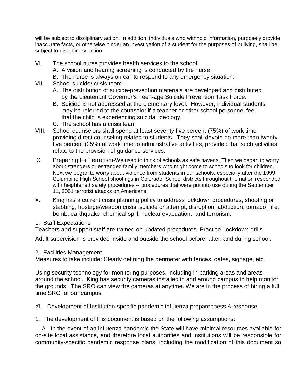will be subject to disciplinary action. In addition, individuals who withhold information, purposely provide inaccurate facts, or otherwise hinder an investigation of a student for the purposes of bullying, shall be subject to disciplinary action.

- VI. The school nurse provides health services to the school
	- A. A vision and hearing screening is conducted by the nurse.
	- B. The nurse is always on call to respond to any emergency situation.
- VII. School suicide/ crisis team
	- A. The distribution of suicide-prevention materials are developed and distributed by the Lieutenant Governor's Teen-age Suicide Prevention Task Force.
	- B. Suicide is not addressed at the elementary level. However, individual students may be referred to the counselor if a teacher or other school personnel feel that the child is experiencing suicidal ideology.
	- C. The school has a crisis team
- VIII. School counselors shall spend at least seventy five percent (75%) of work time providing direct counseling related to students. They shall devote no more than twenty five percent (25%) of work time to administrative activities, provided that such activities relate to the provision of guidance services.
- IX. Preparing for Terrorism-We used to think of schools as safe havens. Then we began to worry about strangers or estranged family members who might come to schools to look for children. Next we began to worry about violence from students in our schools, especially after the 1999 Columbine High School shootings in Colorado. School districts throughout the nation responded with heightened safety procedures -- procedures that were put into use during the September 11, 2001 terrorist attacks on Americans.
- X. King has a current crisis planning policy to address lockdown procedures, shooting or stabbing, hostage/weapon crisis, suicide or attempt, disruption, abduction, tornado, fire, bomb, earthquake, chemical spill, nuclear evacuation, and terrorism.
- 1. Staff Expectations

Teachers and support staff are trained on updated procedures. Practice Lockdown drills.

Adult supervision is provided inside and outside the school before, after, and during school.

2. Facilities Management

Measures to take include: Clearly defining the perimeter with fences, gates, signage, etc.

Using security technology for monitoring purposes, including in parking areas and areas around the school. King has security cameras installed in and around campus to help monitor the grounds. The SRO can view the cameras at anytime. We are in the process of hiring a full time SRO for our campus.

XI. Development of Institution-specific pandemic influenza preparedness & response

1. The development of this document is based on the following assumptions:

 A. In the event of an influenza pandemic the State will have minimal resources available for on-site local assistance, and therefore local authorities and institutions will be responsible for community-specific pandemic response plans, including the modification of this document so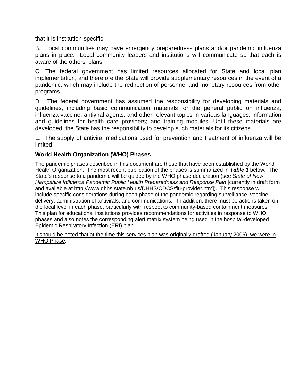that it is institution-specific.

B. Local communities may have emergency preparedness plans and/or pandemic influenza plans in place. Local community leaders and institutions will communicate so that each is aware of the others' plans.

C. The federal government has limited resources allocated for State and local plan implementation, and therefore the State will provide supplementary resources in the event of a pandemic, which may include the redirection of personnel and monetary resources from other programs.

D. The federal government has assumed the responsibility for developing materials and guidelines, including basic communication materials for the general public on influenza, influenza vaccine, antiviral agents, and other relevant topics in various languages; information and guidelines for health care providers; and training modules. Until these materials are developed, the State has the responsibility to develop such materials for its citizens.

E. The supply of antiviral medications used for prevention and treatment of influenza will be limited.

#### **World Health Organization (WHO) Phases**

The pandemic phases described in this document are those that have been established by the World Health Organization. The most recent publication of the phases is summarized in *Table 1* below. The State's response to a pandemic will be guided by the WHO phase declaration (see *State of New Hampshire Influenza Pandemic Public Health Preparedness and Response Plan [currently in draft form* and available at http://www.dhhs.state.nh.us/DHHS/CDCS/flu-provider.htm]). This response will include specific considerations during each phase of the pandemic regarding surveillance, vaccine delivery, administration of antivirals, and communications. In addition, there must be actions taken on the local level in each phase, particularly with respect to community-based containment measures. This plan for educational institutions provides recommendations for activities in response to WHO phases and also notes the corresponding alert matrix system being used in the hospital-developed Epidemic Respiratory Infection (ERI) plan.

It should be noted that at the time this services plan was originally drafted (January 2006), we were in WHO Phase.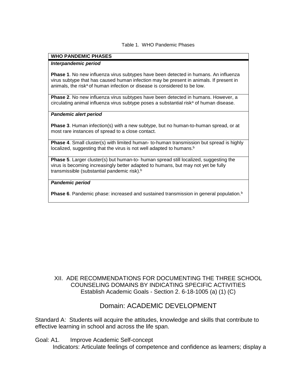#### Table 1. WHO Pandemic Phases

#### **WHO PANDEMIC PHASES**

#### *Interpandemic period*

**Phase 1**. No new influenza virus subtypes have been detected in humans. An influenza virus subtype that has caused human infection may be present in animals. If present in animals, the risk<sup>a</sup> of human infection or disease is considered to be low.

**Phase 2**. No new influenza virus subtypes have been detected in humans. However, a  $circ$ ulating animal influenza virus subtype poses a substantial risk $a$  of human disease.

#### *Pandemic alert period*

**Phase 3**. Human infection(s) with a new subtype, but no human-to-human spread, or at most rare instances of spread to a close contact.

**Phase 4**. Small cluster(s) with limited human- to-human transmission but spread is highly localized, suggesting that the virus is not well adapted to humans.<sup>b</sup>

**Phase 5**. Larger cluster(s) but human-to- human spread still localized, suggesting the virus is becoming increasingly better adapted to humans, but may not yet be fully transmissible (substantial pandemic risk).<sup>b</sup>

#### *Pandemic period*

**Phase 6**. Pandemic phase: increased and sustained transmission in general population.<sup>b</sup>

#### XII. ADE RECOMMENDATIONS FOR DOCUMENTING THE THREE SCHOOL COUNSELING DOMAINS BY INDICATING SPECIFIC ACTIVITIES Establish Academic Goals - Section 2. 6-18-1005 (a) (1) (C)

### Domain: ACADEMIC DEVELOPMENT

Standard A: Students will acquire the attitudes, knowledge and skills that contribute to effective learning in school and across the life span.

Goal: A1. Improve Academic Self-concept

Indicators: Articulate feelings of competence and confidence as learners; display a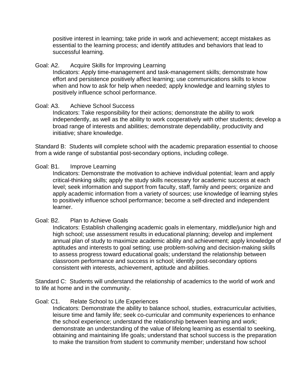positive interest in learning; take pride in work and achievement; accept mistakes as essential to the learning process; and identify attitudes and behaviors that lead to successful learning.

#### Goal: A2. Acquire Skills for Improving Learning

Indicators: Apply time-management and task-management skills; demonstrate how effort and persistence positively affect learning; use communications skills to know when and how to ask for help when needed; apply knowledge and learning styles to positively influence school performance.

#### Goal: A3. Achieve School Success

Indicators: Take responsibility for their actions; demonstrate the ability to work independently, as well as the ability to work cooperatively with other students; develop a broad range of interests and abilities; demonstrate dependability, productivity and initiative; share knowledge.

Standard B: Students will complete school with the academic preparation essential to choose from a wide range of substantial post-secondary options, including college.

#### Goal: B1. Improve Learning

Indicators: Demonstrate the motivation to achieve individual potential; learn and apply critical-thinking skills; apply the study skills necessary for academic success at each level; seek information and support from faculty, staff, family and peers; organize and apply academic information from a variety of sources; use knowledge of learning styles to positively influence school performance; become a self-directed and independent learner.

### Goal: B2. Plan to Achieve Goals

Indicators: Establish challenging academic goals in elementary, middle/junior high and high school; use assessment results in educational planning; develop and implement annual plan of study to maximize academic ability and achievement; apply knowledge of aptitudes and interests to goal setting; use problem-solving and decision-making skills to assess progress toward educational goals; understand the relationship between classroom performance and success in school; identify post-secondary options consistent with interests, achievement, aptitude and abilities.

Standard C: Students will understand the relationship of academics to the world of work and to life at home and in the community.

### Goal: C1. Relate School to Life Experiences

Indicators: Demonstrate the ability to balance school, studies, extracurricular activities, leisure time and family life; seek co-curricular and community experiences to enhance the school experience; understand the relationship between learning and work; demonstrate an understanding of the value of lifelong learning as essential to seeking, obtaining and maintaining life goals; understand that school success is the preparation to make the transition from student to community member; understand how school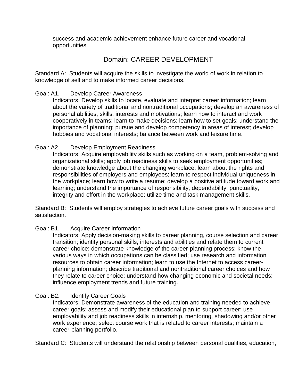success and academic achievement enhance future career and vocational opportunities.

## Domain: CAREER DEVELOPMENT

Standard A: Students will acquire the skills to investigate the world of work in relation to knowledge of self and to make informed career decisions.

#### Goal: A1. Develop Career Awareness

Indicators: Develop skills to locate, evaluate and interpret career information; learn about the variety of traditional and nontraditional occupations; develop an awareness of personal abilities, skills, interests and motivations; learn how to interact and work cooperatively in teams; learn to make decisions; learn how to set goals; understand the importance of planning; pursue and develop competency in areas of interest; develop hobbies and vocational interests; balance between work and leisure time.

#### Goal: A2. Develop Employment Readiness

Indicators: Acquire employability skills such as working on a team, problem-solving and organizational skills; apply job readiness skills to seek employment opportunities; demonstrate knowledge about the changing workplace; learn about the rights and responsibilities of employers and employees; learn to respect individual uniqueness in the workplace; learn how to write a resume; develop a positive attitude toward work and learning; understand the importance of responsibility, dependability, punctuality, integrity and effort in the workplace; utilize time and task management skills.

Standard B: Students will employ strategies to achieve future career goals with success and satisfaction.

#### Goal: B1. Acquire Career Information

Indicators: Apply decision-making skills to career planning, course selection and career transition; identify personal skills, interests and abilities and relate them to current career choice; demonstrate knowledge of the career-planning process; know the various ways in which occupations can be classified; use research and information resources to obtain career information; learn to use the Internet to access careerplanning information; describe traditional and nontraditional career choices and how they relate to career choice; understand how changing economic and societal needs; influence employment trends and future training.

#### Goal: B2. Identify Career Goals

Indicators: Demonstrate awareness of the education and training needed to achieve career goals; assess and modify their educational plan to support career; use employability and job readiness skills in internship, mentoring, shadowing and/or other work experience; select course work that is related to career interests; maintain a career-planning portfolio.

Standard C: Students will understand the relationship between personal qualities, education,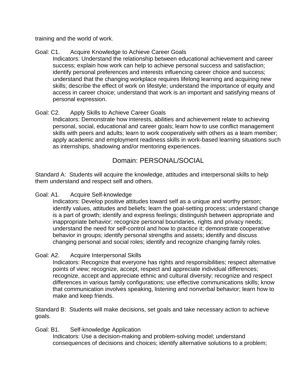training and the world of work.

### Goal: C1. Acquire Knowledge to Achieve Career Goals

Indicators: Understand the relationship between educational achievement and career success; explain how work can help to achieve personal success and satisfaction; identify personal preferences and interests influencing career choice and success; understand that the changing workplace requires lifelong learning and acquiring new skills; describe the effect of work on lifestyle; understand the importance of equity and access in career choice; understand that work is an important and satisfying means of personal expression.

### Goal: C2. Apply Skills to Achieve Career Goals

Indicators: Demonstrate how interests, abilities and achievement relate to achieving personal, social, educational and career goals; learn how to use conflict management skills with peers and adults; learn to work cooperatively with others as a team member; apply academic and employment readiness skills in work-based learning situations such as internships, shadowing and/or mentoring experiences.

## Domain: PERSONAL/SOCIAL

Standard A: Students will acquire the knowledge, attitudes and interpersonal skills to help them understand and respect self and others.

#### Goal: A1. Acquire Self-knowledge

Indicators: Develop positive attitudes toward self as a unique and worthy person; identify values, attitudes and beliefs; learn the goal-setting process; understand change is a part of growth; identify and express feelings; distinguish between appropriate and inappropriate behavior; recognize personal boundaries, rights and privacy needs; understand the need for self-control and how to practice it; demonstrate cooperative behavior in groups; identify personal strengths and assets; identify and discuss changing personal and social roles; identify and recognize changing family roles.

#### Goal: A2. Acquire Interpersonal Skills

Indicators: Recognize that everyone has rights and responsibilities; respect alternative points of view; recognize, accept, respect and appreciate individual differences; recognize, accept and appreciate ethnic and cultural diversity; recognize and respect differences in various family configurations; use effective communications skills; know that communication involves speaking, listening and nonverbal behavior; learn how to make and keep friends.

Standard B: Students will make decisions, set goals and take necessary action to achieve goals.

#### Goal: B1. Self-knowledge Application

Indicators: Use a decision-making and problem-solving model; understand consequences of decisions and choices; identify alternative solutions to a problem;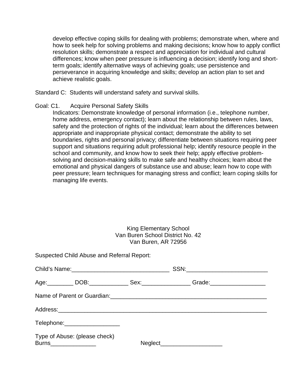develop effective coping skills for dealing with problems; demonstrate when, where and how to seek help for solving problems and making decisions; know how to apply conflict resolution skills; demonstrate a respect and appreciation for individual and cultural differences; know when peer pressure is influencing a decision; identify long and shortterm goals; identify alternative ways of achieving goals; use persistence and perseverance in acquiring knowledge and skills; develop an action plan to set and achieve realistic goals.

Standard C: Students will understand safety and survival skills.

#### Goal: C1. Acquire Personal Safety Skills

Indicators: Demonstrate knowledge of personal information (i.e., telephone number, home address, emergency contact); learn about the relationship between rules, laws, safety and the protection of rights of the individual; learn about the differences between appropriate and inappropriate physical contact; demonstrate the ability to set boundaries, rights and personal privacy; differentiate between situations requiring peer support and situations requiring adult professional help; identify resource people in the school and community, and know how to seek their help; apply effective problemsolving and decision-making skills to make safe and healthy choices; learn about the emotional and physical dangers of substance use and abuse; learn how to cope with peer pressure; learn techniques for managing stress and conflict; learn coping skills for managing life events.

#### King Elementary School Van Buren School District No. 42 Van Buren, AR 72956

Suspected Child Abuse and Referral Report:

|                                                         | Age: __________DOB: _________________Sex: __________________Grade: _________________________________ |                                |  |
|---------------------------------------------------------|------------------------------------------------------------------------------------------------------|--------------------------------|--|
|                                                         | Name of Parent or Guardian:<br><u> Letter Lines and American Communications</u>                      |                                |  |
|                                                         |                                                                                                      |                                |  |
| Telephone: ____________________                         |                                                                                                      |                                |  |
| Type of Abuse: (please check)<br>Burns_________________ |                                                                                                      | Neglect_______________________ |  |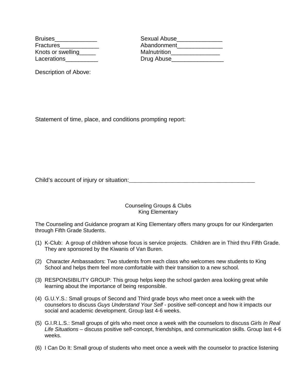Description of Above:

Bruises\_\_\_\_\_\_\_\_\_\_\_\_\_ Sexual Abuse\_\_\_\_\_\_\_\_\_\_\_\_\_\_ Fractures entertainment and Abandonment and Abandonment Knots or swelling Malnutrition Lacerations **Lacerations** Drug Abuse

Statement of time, place, and conditions prompting report:

Child's account of injury or situation:\_\_\_\_\_\_\_\_\_\_\_\_\_\_\_\_\_\_\_\_\_\_\_\_\_\_\_\_\_\_\_\_\_\_\_\_\_\_\_\_\_\_\_

Counseling Groups & Clubs King Elementary

The Counseling and Guidance program at King Elementary offers many groups for our Kindergarten through Fifth Grade Students.

- (1) K-Club: A group of children whose focus is service projects. Children are in Third thru Fifth Grade. They are sponsored by the Kiwanis of Van Buren.
- (2) Character Ambassadors: Two students from each class who welcomes new students to King School and helps them feel more comfortable with their transition to a new school.
- (3) RESPONSIBILITY GROUP: This group helps keep the school garden area looking great while learning about the importance of being responsible.
- (4) G.U.Y.S.: Small groups of Second and Third grade boys who meet once a week with the counselors to discuss *Guys Understand Your Self -* positive self-concept and how it impacts our social and academic development. Group last 4-6 weeks.
- (5) G.I.R.L.S.: Small groups of girls who meet once a week with the counselors to discuss *Girls In Real Life Situations –* discuss positive self-concept, friendships, and communication skills. Group last 4-6 weeks.
- (6) I Can Do It: Small group of students who meet once a week with the counselor to practice listening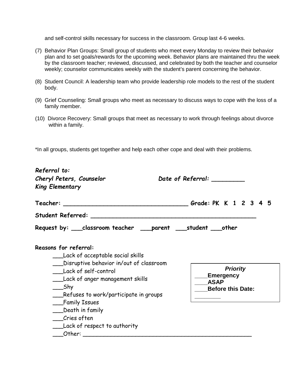and self-control skills necessary for success in the classroom. Group last 4-6 weeks.

- (7) Behavior Plan Groups: Small group of students who meet every Monday to review their behavior plan and to set goals/rewards for the upcoming week. Behavior plans are maintained thru the week by the classroom teacher; reviewed, discussed, and celebrated by both the teacher and counselor weekly; counselor communicates weekly with the student's parent concerning the behavior.
- (8) Student Council: A leadership team who provide leadership role models to the rest of the student body.
- (9) Grief Counseling: Small groups who meet as necessary to discuss ways to cope with the loss of a family member.
- (10) Divorce Recovery: Small groups that meet as necessary to work through feelings about divorce within a family.

\*In all groups, students get together and help each other cope and deal with their problems.

| Referral to:<br>Cheryl Peters, Counselor<br><b>King Elementary</b>                                                                                                                                                                                                                                                                                                                                                                                                                                                                                         | Date of Referral: _________                                             |
|------------------------------------------------------------------------------------------------------------------------------------------------------------------------------------------------------------------------------------------------------------------------------------------------------------------------------------------------------------------------------------------------------------------------------------------------------------------------------------------------------------------------------------------------------------|-------------------------------------------------------------------------|
|                                                                                                                                                                                                                                                                                                                                                                                                                                                                                                                                                            |                                                                         |
|                                                                                                                                                                                                                                                                                                                                                                                                                                                                                                                                                            |                                                                         |
| Request by: ___classroom teacher ___parent ___student ___other                                                                                                                                                                                                                                                                                                                                                                                                                                                                                             |                                                                         |
| Reasons for referral:<br>____Lack of acceptable social skills<br>____Disruptive behavior in/out of classroom<br>Lack of self-control<br>___Lack of anger management skills<br>___Shy<br>__Refuses to work/participate in groups<br>Family Issues<br>___Death in family<br>Cries often<br>___Lack of respect to authority<br>Other: the contract of the contract of the contract of the contract of the contract of the contract of the contract of the contract of the contract of the contract of the contract of the contract of the contract of the con | <b>Priority</b><br>Emergency<br><b>ASAP</b><br><b>Before this Date:</b> |